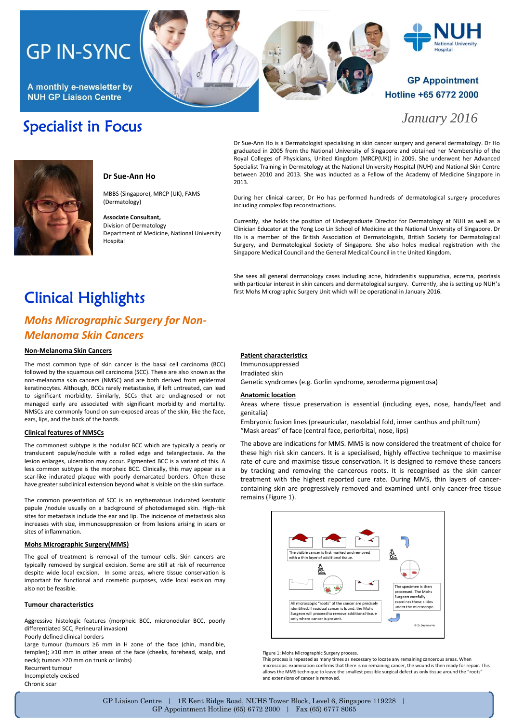# **GP IN-SYNC**

A monthly e-newsletter by **NUH GP Liaison Centre** 

## Specialist in Focus

# **Hospital**

## **GP Appointment** Hotline +65 6772 2000

*January 2016*



### **Dr Sue-Ann Ho**

MBBS (Singapore), MRCP (UK), FAMS (Dermatology)

**Associate Consultant,** Division of Dermatology Department of Medicine, National University Hospital

Dr Sue-Ann Ho is a Dermatologist specialising in skin cancer surgery and general dermatology. Dr Ho graduated in 2005 from the National University of Singapore and obtained her Membership of the Royal Colleges of Physicians, United Kingdom (MRCP(UK)) in 2009. She underwent her Advanced Specialist Training in Dermatology at the National University Hospital (NUH) and National Skin Centre between 2010 and 2013. She was inducted as a Fellow of the Academy of Medicine Singapore in 2013.

During her clinical career, Dr Ho has performed hundreds of dermatological surgery procedures including complex flap reconstructions.

Currently, she holds the position of Undergraduate Director for Dermatology at NUH as well as a Clinician Educator at the Yong Loo Lin School of Medicine at the National University of Singapore. Dr Ho is a member of the British Association of Dermatologists, British Society for Dermatological Surgery, and Dermatological Society of Singapore. She also holds medical registration with the Singapore Medical Council and the General Medical Council in the United Kingdom.

She sees all general dermatology cases including acne, hidradenitis suppurativa, eczema, psoriasis with particular interest in skin cancers and dermatological surgery. Currently, she is setting up NUH's first Mohs Micrographic Surgery Unit which will be operational in January 2016.

# Clinical Highlights

## *Mohs Micrographic Surgery for Non-Melanoma Skin Cancers*

#### **Non-Melanoma Skin Cancers**

The most common type of skin cancer is the basal cell carcinoma (BCC) followed by the squamous cell carcinoma (SCC). These are also known as the non-melanoma skin cancers (NMSC) and are both derived from epidermal keratinocytes. Although, BCCs rarely metastasise, if left untreated, can lead to significant morbidity. Similarly, SCCs that are undiagnosed or not managed early are associated with significant morbidity and mortality. NMSCs are commonly found on sun-exposed areas of the skin, like the face, ears, lips, and the back of the hands.

#### **Clinical features of NMSCs**

The commonest subtype is the nodular BCC which are typically a pearly or translucent papule/nodule with a rolled edge and telangiectasia. As the lesion enlarges, ulceration may occur. Pigmented BCC is a variant of this. A less common subtype is the morpheic BCC. Clinically, this may appear as a scar-like indurated plaque with poorly demarcated borders. Often these have greater subclinical extension beyond what is visible on the skin surface.

The common presentation of SCC is an erythematous indurated keratotic papule /nodule usually on a background of photodamaged skin. High-risk sites for metastasis include the ear and lip. The incidence of metastasis also increases with size, immunosuppression or from lesions arising in scars or sites of inflammation.

#### **Mohs Micrographic Surgery(MMS)**

The goal of treatment is removal of the tumour cells. Skin cancers are typically removed by surgical excision. Some are still at risk of recurrence despite wide local excision. In some areas, where tissue conservation is important for functional and cosmetic purposes, wide local excision may also not be feasible.

#### **Tumour characteristics**

Aggressive histologic features (morpheic BCC, micronodular BCC, poorly differentiated SCC, Perineural invasion)

Poorly defined clinical borders

Large tumour (tumours ≥6 mm in H zone of the face (chin, mandible, temples); ≥10 mm in other areas of the face (cheeks, forehead, scalp, and neck); tumors ≥20 mm on trunk or limbs) Recurrent tumour Incompletely excised

Chronic scar

#### **Patient characteristics**

Immunosuppressed Irradiated skin Genetic syndromes (e.g. Gorlin syndrome, xeroderma pigmentosa)

#### **Anatomic location**

Areas where tissue preservation is essential (including eyes, nose, hands/feet and genitalia)

Embryonic fusion lines (preauricular, nasolabial fold, inner canthus and philtrum) "Mask areas" of face (central face, periorbital, nose, lips)

The above are indications for MMS. MMS is now considered the treatment of choice for these high risk skin cancers. It is a specialised, highly effective technique to maximise rate of cure and maximise tissue conservation. It is designed to remove these cancers by tracking and removing the cancerous roots. It is recognised as the skin cancer treatment with the highest reported cure rate. During MMS, thin layers of cancercontaining skin are progressively removed and examined until only cancer-free tissue remains (Figure 1).



Figure 1: Mohs Micrographic Surgery process.

This process is repeated as many times as necessary to locate any remaining cancerous areas. When microscopic examination confirms that there is no remaining cancer, the wound is then ready for repair. This allows the MMS technique to leave the smallest possible surgical defect as only tissue around the "roots" and extensions of cancer is removed.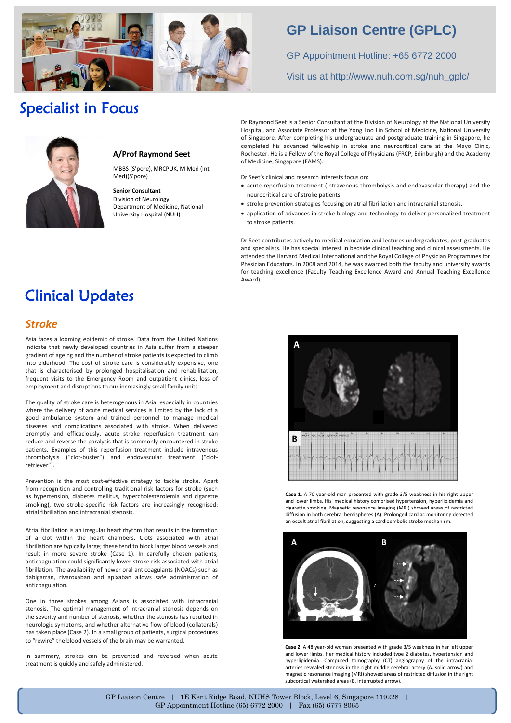

## **GP Liaison Centre (GPLC)**

GP Appointment Hotline: +65 6772 2000

Visit us at [http://www.nuh.com.sg/nuh\\_gplc/](http://www.nuh.com.sg/nuh_gplc/)

## Specialist in Focus



#### **A/Prof Raymond Seet**

MBBS (S'pore), MRCPUK, M Med (Int Med)(S'pore)

**Senior Consultant** Division of Neurology Department of Medicine, National University Hospital (NUH)

Dr Raymond Seet is a Senior Consultant at the Division of Neurology at the National University Hospital, and Associate Professor at the Yong Loo Lin School of Medicine, National University of Singapore. After completing his undergraduate and postgraduate training in Singapore, he completed his advanced fellowship in stroke and neurocritical care at the Mayo Clinic, Rochester. He is a Fellow of the Royal College of Physicians (FRCP, Edinburgh) and the Academy of Medicine, Singapore (FAMS).

- Dr Seet's clinical and research interests focus on:
- acute reperfusion treatment (intravenous thrombolysis and endovascular therapy) and the neurocritical care of stroke patients.
- stroke prevention strategies focusing on atrial fibrillation and intracranial stenosis.
- application of advances in stroke biology and technology to deliver personalized treatment to stroke patients.

Dr Seet contributes actively to medical education and lectures undergraduates, post-graduates and specialists. He has special interest in bedside clinical teaching and clinical assessments. He attended the Harvard Medical International and the Royal College of Physician Programmes for Physician Educators. In 2008 and 2014, he was awarded both the faculty and university awards for teaching excellence (Faculty Teaching Excellence Award and Annual Teaching Excellence Award).

# Clinical Updates

## *Stroke*

Asia faces a looming epidemic of stroke. Data from the United Nations indicate that newly developed countries in Asia suffer from a steeper gradient of ageing and the number of stroke patients is expected to climb into elderhood. The cost of stroke care is considerably expensive, one that is characterised by prolonged hospitalisation and rehabilitation, frequent visits to the Emergency Room and outpatient clinics, loss of employment and disruptions to our increasingly small family units.

The quality of stroke care is heterogenous in Asia, especially in countries where the delivery of acute medical services is limited by the lack of a good ambulance system and trained personnel to manage medical diseases and complications associated with stroke. When delivered promptly and efficaciously, acute stroke reperfusion treatment can reduce and reverse the paralysis that is commonly encountered in stroke patients. Examples of this reperfusion treatment include intravenous thrombolysis ("clot-buster") and endovascular treatment ("clotretriever").

Prevention is the most cost-effective strategy to tackle stroke. Apart from recognition and controlling traditional risk factors for stroke (such as hypertension, diabetes mellitus, hypercholesterolemia and cigarette smoking), two stroke-specific risk factors are increasingly recognised: atrial fibrillation and intracranial stenosis.

Atrial fibrillation is an irregular heart rhythm that results in the formation of a clot within the heart chambers. Clots associated with atrial fibrillation are typically large; these tend to block larger blood vessels and result in more severe stroke (Case 1). In carefully chosen patients, anticoagulation could significantly lower stroke risk associated with atrial fibrillation. The availability of newer oral anticoagulants (NOACs) such as dabigatran, rivaroxaban and apixaban allows safe administration of anticoagulation.

One in three strokes among Asians is associated with intracranial stenosis. The optimal management of intracranial stenosis depends on the severity and number of stenosis, whether the stenosis has resulted in neurologic symptoms, and whether alternative flow of blood (collaterals) has taken place (Case 2). In a small group of patients, surgical procedures to "rewire" the blood vessels of the brain may be warranted.

In summary, strokes can be prevented and reversed when acute treatment is quickly and safely administered.



**Case 1**. A 70 year-old man presented with grade 3/5 weakness in his right upper and lower limbs. His medical history comprised hypertension, hyperlipidemia and cigarette smoking. Magnetic resonance imaging (MRI) showed areas of restricted diffusion in both cerebral hemispheres (A). Prolonged cardiac monitoring detected



**Case 2**. A 48 year-old woman presented with grade 3/5 weakness in her left upper and lower limbs. Her medical history included type 2 diabetes, hypertension and hyperlipidemia. Computed tomography (CT) angiography of the intracranial arteries revealed stenosis in the right middle cerebral artery (A, solid arrow) and magnetic resonance imaging (MRI) showed areas of restricted diffusion in the right subcortical watershed areas (B, interrupted arrow).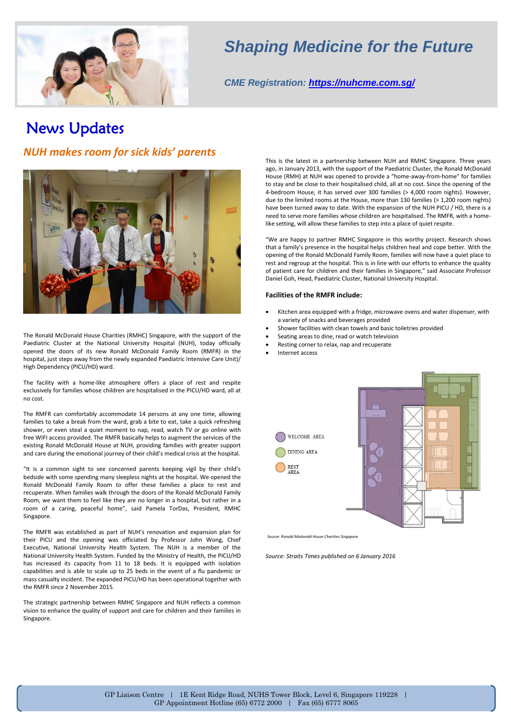

## *Shaping Medicine for the Future*

*CME Registration:<https://nuhcme.com.sg/>*

## News Updates

## *NUH makes room for sick kids' parents*



The Ronald McDonald House Charities (RMHC) Singapore, with the support of the Paediatric Cluster at the National University Hospital (NUH), today officially opened the doors of its new Ronald McDonald Family Room (RMFR) in the hospital, just steps away from the newly expanded Paediatric Intensive Care Unit)/ High Dependency (PICU/HD) ward.

The facility with a home-like atmosphere offers a place of rest and respite exclusively for families whose children are hospitalised in the PICU/HD ward, all at no cost.

The RMFR can comfortably accommodate 14 persons at any one time, allowing families to take a break from the ward, grab a bite to eat, take a quick refreshing shower, or even steal a quiet moment to nap, read, watch TV or go online with free WIFI access provided. The RMFR basically helps to augment the services of the existing Ronald McDonald House at NUH, providing families with greater support and care during the emotional journey of their child's medical crisis at the hospital.

"It is a common sight to see concerned parents keeping vigil by their child's bedside with some spending many sleepless nights at the hospital. We opened the Ronald McDonald Family Room to offer these families a place to rest and recuperate. When families walk through the doors of the Ronald McDonald Family Room, we want them to feel like they are no longer in a hospital, but rather in a room of a caring, peaceful home", said Pamela TorDas, President, RMHC Singapore.

The RMFR was established as part of NUH's renovation and expansion plan for their PICU and the opening was officiated by Professor John Wong, Chief Executive, National University Health System. The NUH is a member of the National University Health System. Funded by the Ministry of Health, the PICU/HD has increased its capacity from 11 to 18 beds. It is equipped with isolation capabilities and is able to scale up to 25 beds in the event of a flu pandemic or mass casualty incident. The expanded PICU/HD has been operational together with the RMFR since 2 November 2015.

The strategic partnership between RMHC Singapore and NUH reflects a common vision to enhance the quality of support and care for children and their families in Singapore.

This is the latest in a partnership between NUH and RMHC Singapore. Three years ago, in January 2013, with the support of the Paediatric Cluster, the Ronald McDonald House (RMH) at NUH was opened to provide a "home-away-from-home" for families to stay and be close to their hospitalised child, all at no cost. Since the opening of the 4-bedroom House, it has served over 300 families (> 4,000 room nights). However, due to the limited rooms at the House, more than 130 families (> 1,200 room nights) have been turned away to date. With the expansion of the NUH PICU / HD, there is a need to serve more families whose children are hospitalised. The RMFR, with a homelike setting, will allow these families to step into a place of quiet respite.

"We are happy to partner RMHC Singapore in this worthy project. Research shows that a family's presence in the hospital helps children heal and cope better. With the opening of the Ronald McDonald Family Room, families will now have a quiet place to rest and regroup at the hospital. This is in line with our efforts to enhance the quality of patient care for children and their families in Singapore," said Associate Professor Daniel Goh, Head, Paediatric Cluster, National University Hospital.

#### **Facilities of the RMFR include:**

- Kitchen area equipped with a fridge, microwave ovens and water dispenser, with a variety of snacks and beverages provided
- Shower facilities with clean towels and basic toiletries provided
- Seating areas to dine, read or watch television
- Resting corner to relax, nap and recuperate
- Internet access



*Source: Ronald Mcdonald House Charities Singapore*

*Source: Straits Times published on 6 January 2016*